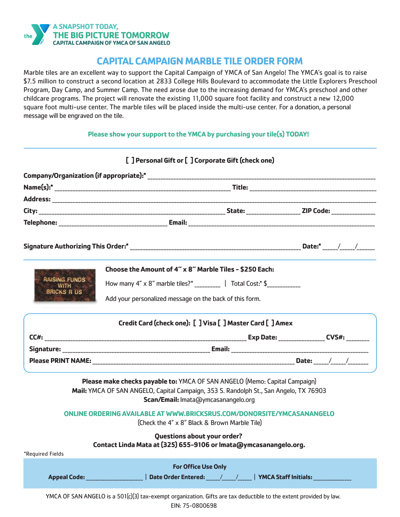

# **CAPITAL CAMPAIGN MARBLE TILE ORDER FORM**

Marble tiles are an excellent way to support the Capital Campaign of YMCA of San Angelo! The YMCA's goal is to raise \$7.5 million to construct a second location at 2833 College Hills Boulevard to accommodate the Little Explorers Preschool Program, Day Camp, and Summer Camp. The need arose due to the increasing demand for YMCA's preschool and other childcare programs. The project will renovate the existing 11,000 square foot facility and construct a new 12,000 square foot multi-use center. The marble tiles will be placed inside the multi-use center. For a donation, a personal message will be engraved on the tile.

## **Please show your support to the YMCA by purchasing your tile(s) TODAY!**

|                                    | [] Personal Gift or [] Corporate Gift (check one)                                                                                                                                                          |                                    |  |
|------------------------------------|------------------------------------------------------------------------------------------------------------------------------------------------------------------------------------------------------------|------------------------------------|--|
|                                    |                                                                                                                                                                                                            |                                    |  |
|                                    |                                                                                                                                                                                                            |                                    |  |
|                                    |                                                                                                                                                                                                            |                                    |  |
|                                    |                                                                                                                                                                                                            |                                    |  |
|                                    |                                                                                                                                                                                                            |                                    |  |
|                                    |                                                                                                                                                                                                            |                                    |  |
|                                    | Choose the Amount of 4" x 8" Marble Tiles - \$250 Each:                                                                                                                                                    |                                    |  |
| <b>RAISING FUNDS</b><br>$WITH = 4$ | How many 4" x 8" marble tiles?* ________________   Total Cost:* \$                                                                                                                                         |                                    |  |
| <b>BRICKS R US</b>                 | Add your personalized message on the back of this form.                                                                                                                                                    |                                    |  |
|                                    | Credit Card (check one): [ ] Visa [ ] Master Card [ ] Amex                                                                                                                                                 |                                    |  |
|                                    |                                                                                                                                                                                                            |                                    |  |
|                                    |                                                                                                                                                                                                            |                                    |  |
|                                    |                                                                                                                                                                                                            |                                    |  |
|                                    | Please make checks payable to: YMCA OF SAN ANGELO (Memo: Capital Campaign)<br>Mail: YMCA OF SAN ANGELO, Capital Campaign, 353 S. Randolph St., San Angelo, TX 76903<br>Scan/Email: Imata@ymcasanangelo.org |                                    |  |
|                                    | ONLINE ORDERING AVAILABLE AT WWW.BRICKSRUS.COM/DONORSITE/YMCASANANGELO<br>(Check the 4" x 8" Black & Brown Marble Tile)                                                                                    |                                    |  |
| *Required Fields                   | <b>Questions about your order?</b><br>Contact Linda Mata at (325) 655-9106 or Imata@ymcasanangelo.org.                                                                                                     |                                    |  |
|                                    | <b>For Office Use Only</b>                                                                                                                                                                                 |                                    |  |
| <b>Appeal Code:</b> Appeal Code:   | Date Order Entered: / /                                                                                                                                                                                    | YMCA Staff Initials: _____________ |  |
|                                    | YMCA OF SAN ANGELO is a 501(c)(3) tax-exempt organization. Gifts are tax deductible to the extent provided by law.                                                                                         |                                    |  |